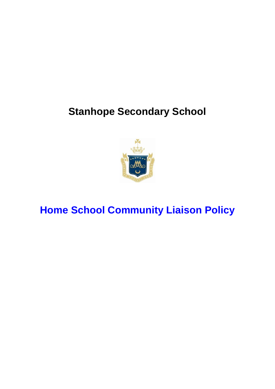# **Stanhope Secondary School**



# **Home School Community Liaison Policy**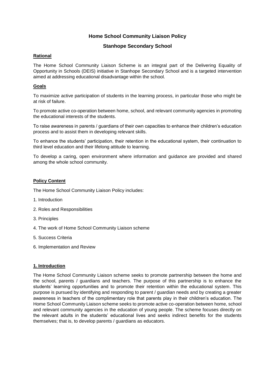# **Home School Community Liaison Policy**

# **Stanhope Secondary School**

## **Rational**

The Home School Community Liaison Scheme is an integral part of the Delivering Equality of Opportunity in Schools (DEIS) initiative in Stanhope Secondary School and is a targeted intervention aimed at addressing educational disadvantage within the school.

# **Goals**

To maximize active participation of students in the learning process, in particular those who might be at risk of failure.

To promote active co-operation between home, school, and relevant community agencies in promoting the educational interests of the students.

To raise awareness in parents / guardians of their own capacities to enhance their children's education process and to assist them in developing relevant skills.

To enhance the students' participation, their retention in the educational system, their continuation to third level education and their lifelong attitude to learning.

To develop a caring, open environment where information and guidance are provided and shared among the whole school community.

## **Policy Content**

The Home School Community Liaison Policy includes:

- 1. Introduction
- 2. Roles and Responsibilities
- 3. Principles
- 4. The work of Home School Community Liaison scheme
- 5. Success Criteria
- 6. Implementation and Review

## **1. Introduction**

The Home School Community Liaison scheme seeks to promote partnership between the home and the school, parents / guardians and teachers. The purpose of this partnership is to enhance the students' learning opportunities and to promote their retention within the educational system. This purpose is pursued by identifying and responding to parent / guardian needs and by creating a greater awareness in teachers of the complimentary role that parents play in their children's education. The Home School Community Liaison scheme seeks to promote active co-operation between home, school and relevant community agencies in the education of young people. The scheme focuses directly on the relevant adults in the students' educational lives and seeks indirect benefits for the students themselves; that is, to develop parents / guardians as educators.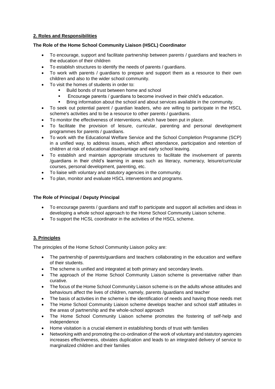# **2. Roles and Responsibilities**

## **The Role of the Home School Community Liaison (HSCL) Coordinator**

- To encourage, support and facilitate partnership between parents / guardians and teachers in the education of their children
- To establish structures to identify the needs of parents / guardians.
- To work with parents / guardians to prepare and support them as a resource to their own children and also to the wider school community.
- To visit the homes of students in order to:
	- Build bonds of trust between home and school
	- Encourage parents / guardians to become involved in their child's education.
	- Bring information about the school and about services available in the community.
- To seek out potential parent / guardian leaders, who are willing to participate in the HSCL scheme's activities and to be a resource to other parents / guardians.
- To monitor the effectiveness of interventions, which have been put in place.
- To facilitate the provision of leisure, curricular, parenting and personal development programmes for parents / guardians.
- To work with the Educational Welfare Service and the School Completion Programme (SCP) in a unified way, to address issues, which affect attendance, participation and retention of children at risk of educational disadvantage and early school leaving.
- To establish and maintain appropriate structures to facilitate the involvement of parents /guardians in their child's learning in areas such as literacy, numeracy, leisure/curricular courses, personal development, parenting, etc.
- To liaise with voluntary and statutory agencies in the community.
- To plan, monitor and evaluate HSCL interventions and programs.

## **The Role of Principal / Deputy Principal**

- To encourage parents / guardians and staff to participate and support all activities and ideas in developing a whole school approach to the Home School Community Liaison scheme.
- To support the HCSL coordinator in the activities of the HSCL scheme.

# **3. Principles**

The principles of the Home School Community Liaison policy are:

- The partnership of parents/guardians and teachers collaborating in the education and welfare of their students.
- The scheme is unified and integrated at both primary and secondary levels.
- The approach of the Home School Community Liaison scheme is preventative rather than curative.
- The focus of the Home School Community Liaison scheme is on the adults whose attitudes and behaviours affect the lives of children, namely, parents /guardians and teacher
- The basis of activities in the scheme is the identification of needs and having those needs met
- The Home School Community Liaison scheme develops teacher and school staff attitudes in the areas of partnership and the whole-school approach
- The Home School Community Liaison scheme promotes the fostering of self-help and independence
- Home visitation is a crucial element in establishing bonds of trust with families
- Networking with and promoting the co-ordination of the work of voluntary and statutory agencies increases effectiveness, obviates duplication and leads to an integrated delivery of service to marginalized children and their families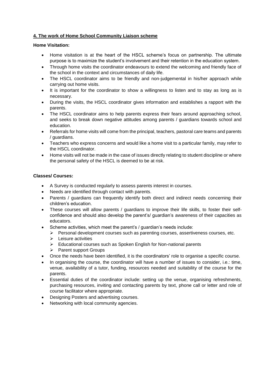# **4. The work of Home School Community Liaison scheme**

#### **Home Visitation:**

- Home visitation is at the heart of the HSCL scheme's focus on partnership. The ultimate purpose is to maximize the student's involvement and their retention in the education system.
- Through home visits the coordinator endeavours to extend the welcoming and friendly face of the school in the context and circumstances of daily life.
- The HSCL coordinator aims to be friendly and non-judgemental in his/her approach while carrying out home visits.
- It is important for the coordinator to show a willingness to listen and to stay as long as is necessary.
- During the visits, the HSCL coordinator gives information and establishes a rapport with the parents.
- The HSCL coordinator aims to help parents express their fears around approaching school, and seeks to break down negative attitudes among parents / guardians towards school and education.
- Referrals for home visits will come from the principal, teachers, pastoral care teams and parents / guardians.
- Teachers who express concerns and would like a home visit to a particular family, may refer to the HSCL coordinator.
- Home visits will not be made in the case of issues directly relating to student discipline or where the personal safety of the HSCL is deemed to be at risk.

## **Classes/ Courses:**

- A Survey is conducted regularly to assess parents interest in courses.
- Needs are identified through contact with parents.
- Parents / guardians can frequently identify both direct and indirect needs concerning their children's education.
- These courses will allow parents / guardians to improve their life skills, to foster their selfconfidence and should also develop the parent's/ guardian's awareness of their capacities as educators.
- Scheme activities, which meet the parent's / guardian's needs include:
	- $\triangleright$  Personal development courses such as parenting courses, assertiveness courses, etc.
	- $\triangleright$  Leisure activities
	- $\triangleright$  Educational courses such as Spoken English for Non-national parents
	- **►** Parent support Groups
- Once the needs have been identified, it is the coordinators' role to organise a specific course.
- In organising the course, the coordinator will have a number of issues to consider, i.e.: time, venue, availability of a tutor, funding, resources needed and suitability of the course for the parents.
- Essential duties of the coordinator include: setting up the venue, organising refreshments, purchasing resources, inviting and contacting parents by text, phone call or letter and role of course facilitator where appropriate.
- Designing Posters and advertising courses.
- Networking with local community agencies.